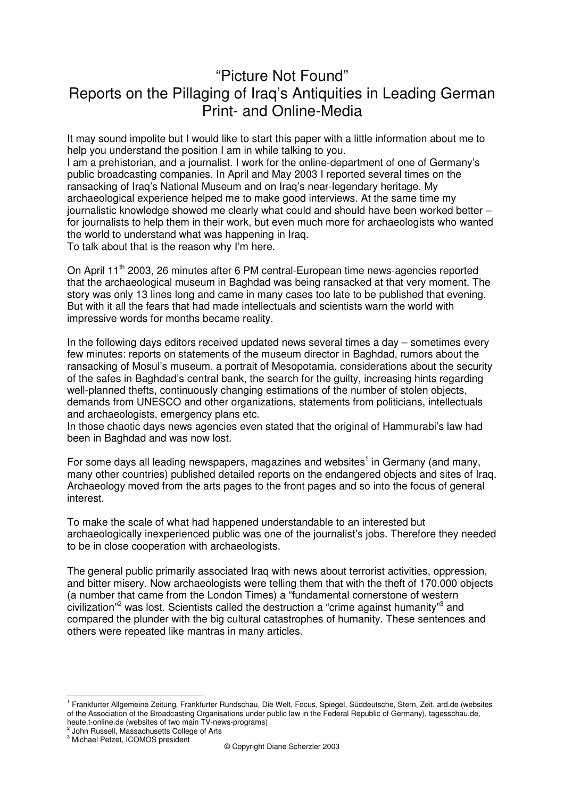## "Picture Not Found" Reports on the Pillaging of Iraq's Antiquities in Leading German Print- and Online-Media

It may sound impolite but I would like to start this paper with a little information about me to help you understand the position I am in while talking to you.

I am a prehistorian, and a journalist. I work for the online-department of one of Germany's public broadcasting companies. In April and May 2003 I reported several times on the ransacking of Iraq's National Museum and on Iraq's near-legendary heritage. My archaeological experience helped me to make good interviews. At the same time my journalistic knowledge showed me clearly what could and should have been worked better – for journalists to help them in their work, but even much more for archaeologists who wanted the world to understand what was happening in Iraq.

To talk about that is the reason why I'm here.

On April 11<sup>th</sup> 2003, 26 minutes after 6 PM central-European time news-agencies reported that the archaeological museum in Baghdad was being ransacked at that very moment. The story was only 13 lines long and came in many cases too late to be published that evening. But with it all the fears that had made intellectuals and scientists warn the world with impressive words for months became reality.

In the following days editors received updated news several times a day – sometimes every few minutes: reports on statements of the museum director in Baghdad, rumors about the ransacking of Mosul's museum, a portrait of Mesopotamia, considerations about the security of the safes in Baghdad's central bank, the search for the guilty, increasing hints regarding well-planned thefts, continuously changing estimations of the number of stolen objects, demands from UNESCO and other organizations, statements from politicians, intellectuals and archaeologists, emergency plans etc.

In those chaotic days news agencies even stated that the original of Hammurabi's law had been in Baghdad and was now lost.

For some days all leading newspapers, magazines and websites<sup>1</sup> in Germany (and many, many other countries) published detailed reports on the endangered objects and sites of Iraq. Archaeology moved from the arts pages to the front pages and so into the focus of general interest.

To make the scale of what had happened understandable to an interested but archaeologically inexperienced public was one of the journalist's jobs. Therefore they needed to be in close cooperation with archaeologists.

The general public primarily associated Iraq with news about terrorist activities, oppression, and bitter misery. Now archaeologists were telling them that with the theft of 170.000 objects (a number that came from the London Times) a "fundamental cornerstone of western civilization<sup>"2</sup> was lost. Scientists called the destruction a "crime against humanity"<sup>3</sup> and compared the plunder with the big cultural catastrophes of humanity. These sentences and others were repeated like mantras in many articles.

 $\overline{a}$ 

<sup>1</sup> Frankfurter Allgemeine Zeitung, Frankfurter Rundschau, Die Welt, Focus, Spiegel, Süddeutsche, Stern, Zeit. ard.de (websites of the Association of the Broadcasting Organisations under public law in the Federal Republic of Germany), tagesschau.de, heute.t-online.de (websites of two main TV-news-programs)

<sup>&</sup>lt;sup>2</sup> John Russell, Massachusetts College of Arts <sup>3</sup> Michael Petzet, ICOMOS president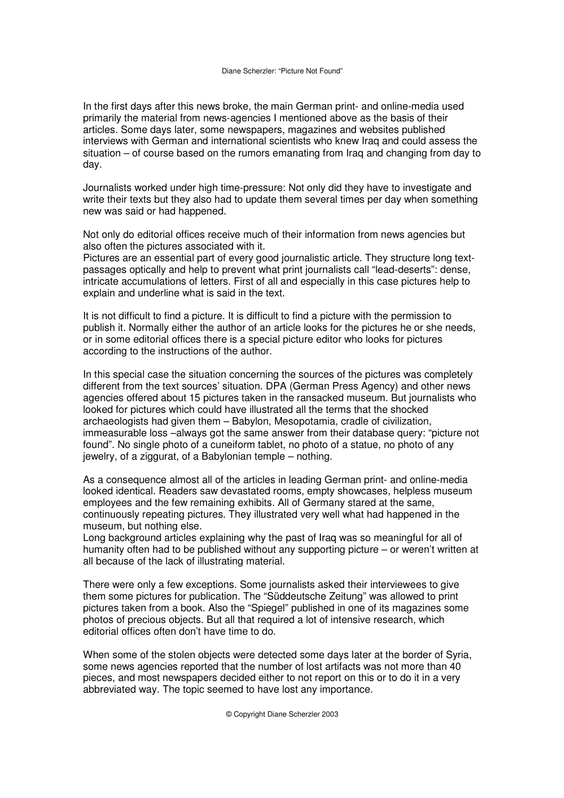In the first days after this news broke, the main German print- and online-media used primarily the material from news-agencies I mentioned above as the basis of their articles. Some days later, some newspapers, magazines and websites published interviews with German and international scientists who knew Iraq and could assess the situation – of course based on the rumors emanating from Iraq and changing from day to day.

Journalists worked under high time-pressure: Not only did they have to investigate and write their texts but they also had to update them several times per day when something new was said or had happened.

Not only do editorial offices receive much of their information from news agencies but also often the pictures associated with it.

Pictures are an essential part of every good journalistic article. They structure long textpassages optically and help to prevent what print journalists call "lead-deserts": dense, intricate accumulations of letters. First of all and especially in this case pictures help to explain and underline what is said in the text.

It is not difficult to find a picture. It is difficult to find a picture with the permission to publish it. Normally either the author of an article looks for the pictures he or she needs, or in some editorial offices there is a special picture editor who looks for pictures according to the instructions of the author.

In this special case the situation concerning the sources of the pictures was completely different from the text sources' situation. DPA (German Press Agency) and other news agencies offered about 15 pictures taken in the ransacked museum. But journalists who looked for pictures which could have illustrated all the terms that the shocked archaeologists had given them – Babylon, Mesopotamia, cradle of civilization, immeasurable loss –always got the same answer from their database query: "picture not found". No single photo of a cuneiform tablet, no photo of a statue, no photo of any jewelry, of a ziggurat, of a Babylonian temple – nothing.

As a consequence almost all of the articles in leading German print- and online-media looked identical. Readers saw devastated rooms, empty showcases, helpless museum employees and the few remaining exhibits. All of Germany stared at the same, continuously repeating pictures. They illustrated very well what had happened in the museum, but nothing else.

Long background articles explaining why the past of Iraq was so meaningful for all of humanity often had to be published without any supporting picture – or weren't written at all because of the lack of illustrating material.

There were only a few exceptions. Some journalists asked their interviewees to give them some pictures for publication. The "Süddeutsche Zeitung" was allowed to print pictures taken from a book. Also the "Spiegel" published in one of its magazines some photos of precious objects. But all that required a lot of intensive research, which editorial offices often don't have time to do.

When some of the stolen objects were detected some days later at the border of Syria, some news agencies reported that the number of lost artifacts was not more than 40 pieces, and most newspapers decided either to not report on this or to do it in a very abbreviated way. The topic seemed to have lost any importance.